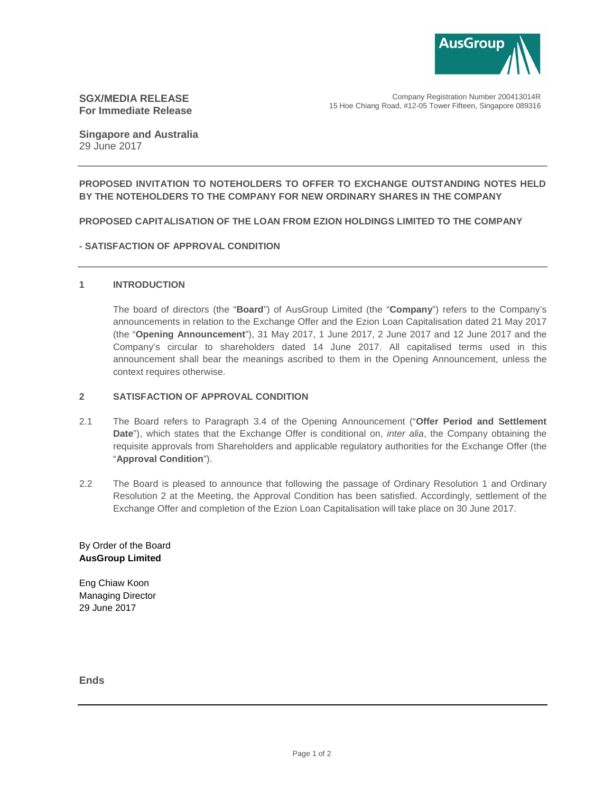

# **SGX/MEDIA RELEASE For Immediate Release**

Company Registration Number 200413014R 15 Hoe Chiang Road, #12-05 Tower Fifteen, Singapore 089316

**Singapore and Australia**  29 June 2017

## **PROPOSED INVITATION TO NOTEHOLDERS TO OFFER TO EXCHANGE OUTSTANDING NOTES HELD BY THE NOTEHOLDERS TO THE COMPANY FOR NEW ORDINARY SHARES IN THE COMPANY**

### **PROPOSED CAPITALISATION OF THE LOAN FROM EZION HOLDINGS LIMITED TO THE COMPANY**

### **- SATISFACTION OF APPROVAL CONDITION**

#### **1 INTRODUCTION**

The board of directors (the "**Board**") of AusGroup Limited (the "**Company**") refers to the Company's announcements in relation to the Exchange Offer and the Ezion Loan Capitalisation dated 21 May 2017 (the "**Opening Announcement**"), 31 May 2017, 1 June 2017, 2 June 2017 and 12 June 2017 and the Company's circular to shareholders dated 14 June 2017. All capitalised terms used in this announcement shall bear the meanings ascribed to them in the Opening Announcement, unless the context requires otherwise.

### **2 SATISFACTION OF APPROVAL CONDITION**

- 2.1 The Board refers to Paragraph 3.4 of the Opening Announcement ("**Offer Period and Settlement**  Date"), which states that the Exchange Offer is conditional on, *inter alia*, the Company obtaining the requisite approvals from Shareholders and applicable regulatory authorities for the Exchange Offer (the "**Approval Condition**").
- 2.2 The Board is pleased to announce that following the passage of Ordinary Resolution 1 and Ordinary Resolution 2 at the Meeting, the Approval Condition has been satisfied. Accordingly, settlement of the Exchange Offer and completion of the Ezion Loan Capitalisation will take place on 30 June 2017.

## By Order of the Board **AusGroup Limited**

Eng Chiaw Koon Managing Director 29 June 2017

**Ends**